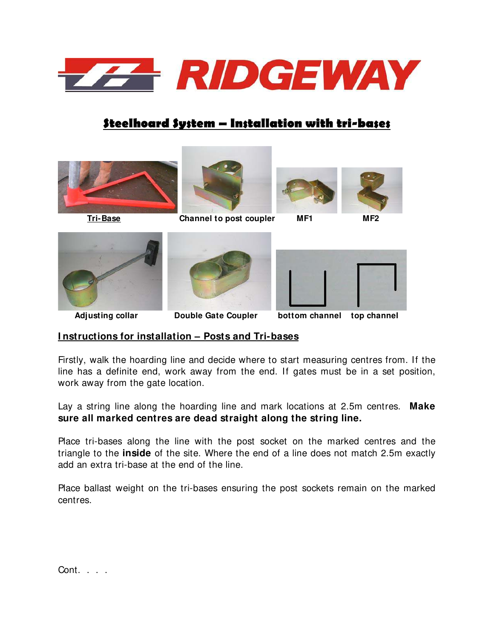

# **Steelhoard System – Installation with tri-bases**



## **I nstructions for installation – Posts and Tri-bases**

Firstly, walk the hoarding line and decide where to start measuring centres from. If the line has a definite end, work away from the end. If gates must be in a set position, work away from the gate location.

Lay a string line along the hoarding line and mark locations at 2.5m centres. **Make sure all marked centres are dead straight along the string line.** 

Place tri-bases along the line with the post socket on the marked centres and the triangle to the **inside** of the site. Where the end of a line does not match 2.5m exactly add an extra tri-base at the end of the line.

Place ballast weight on the tri-bases ensuring the post sockets remain on the marked centres.

Cont. . . .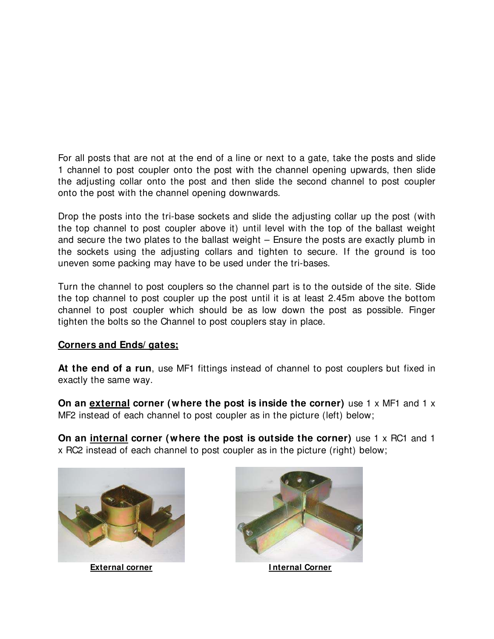For all posts that are not at the end of a line or next to a gate, take the posts and slide 1 channel to post coupler onto the post with the channel opening upwards, then slide the adjusting collar onto the post and then slide the second channel to post coupler onto the post with the channel opening downwards.

Drop the posts into the tri-base sockets and slide the adjusting collar up the post (with the top channel to post coupler above it) until level with the top of the ballast weight and secure the two plates to the ballast weight – Ensure the posts are exactly plumb in the sockets using the adjusting collars and tighten to secure. If the ground is too uneven some packing may have to be used under the tri-bases.

Turn the channel to post couplers so the channel part is to the outside of the site. Slide the top channel to post coupler up the post until it is at least 2.45m above the bottom channel to post coupler which should be as low down the post as possible. Finger tighten the bolts so the Channel to post couplers stay in place.

## **Corners and Ends/ gates;**

**At the end of a run**, use MF1 fittings instead of channel to post couplers but fixed in exactly the same way.

**On an external corner (where the post is inside the corner)** use 1 x MF1 and 1 x MF2 instead of each channel to post coupler as in the picture (left) below;

**On an internal corner (where the post is outside the corner)** use 1 x RC1 and 1 x RC2 instead of each channel to post coupler as in the picture (right) below;





**External corner Internal Corner**